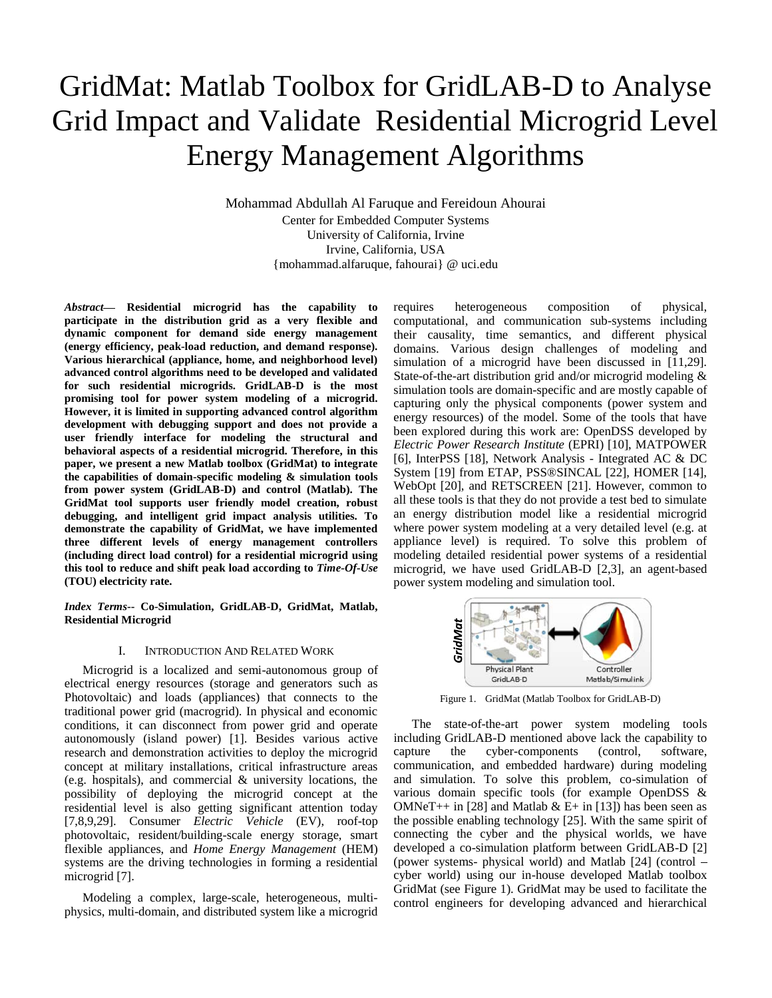# GridMat: Matlab Toolbox for GridLAB-D to Analyse Grid Impact and Validate Residential Microgrid Level Energy Management Algorithms

Mohammad Abdullah Al Faruque and Fereidoun Ahourai Center for Embedded Computer Systems

University of California, Irvine Irvine, California, USA {mohammad.alfaruque, fahourai} @ uci.edu

*Abstract* **Residential microgrid has the capability to participate in the distribution grid as a very flexible and dynamic component for demand side energy management (energy efficiency, peak-load reduction, and demand response). Various hierarchical (appliance, home, and neighborhood level) advanced control algorithms need to be developed and validated for such residential microgrids. GridLAB-D is the most promising tool for power system modeling of a microgrid. However, it is limited in supporting advanced control algorithm development with debugging support and does not provide a user friendly interface for modeling the structural and behavioral aspects of a residential microgrid. Therefore, in this paper, we present a new Matlab toolbox (GridMat) to integrate the capabilities of domain-specific modeling & simulation tools from power system (GridLAB-D) and control (Matlab). The GridMat tool supports user friendly model creation, robust debugging, and intelligent grid impact analysis utilities. To demonstrate the capability of GridMat, we have implemented three different levels of energy management controllers (including direct load control) for a residential microgrid using this tool to reduce and shift peak load according to** *Time-Of-Use* **(TOU) electricity rate.** 

*Index Terms***-- Co-Simulation, GridLAB-D, GridMat, Matlab, Residential Microgrid**

## I. INTRODUCTION AND RELATED WORK

Microgrid is a localized and semi-autonomous group of electrical energy resources (storage and generators such as Photovoltaic) and loads (appliances) that connects to the traditional power grid (macrogrid). In physical and economic conditions, it can disconnect from power grid and operate autonomously (island power) [1]. Besides various active research and demonstration activities to deploy the microgrid concept at military installations, critical infrastructure areas (e.g. hospitals), and commercial & university locations, the possibility of deploying the microgrid concept at the residential level is also getting significant attention today [7,8,9,29]. Consumer *Electric Vehicle* (EV), roof-top photovoltaic, resident/building-scale energy storage, smart flexible appliances, and *Home Energy Management* (HEM) systems are the driving technologies in forming a residential microgrid [7].

Modeling a complex, large-scale, heterogeneous, multiphysics, multi-domain, and distributed system like a microgrid requires heterogeneous composition of physical, computational, and communication sub-systems including their causality, time semantics, and different physical domains. Various design challenges of modeling and simulation of a microgrid have been discussed in [11,29]. State-of-the-art distribution grid and/or microgrid modeling & simulation tools are domain-specific and are mostly capable of capturing only the physical components (power system and energy resources) of the model. Some of the tools that have been explored during this work are: OpenDSS developed by *Electric Power Research Institute* (EPRI) [10], MATPOWER [6], InterPSS [18], Network Analysis - Integrated AC & DC System [19] from ETAP, PSS®SINCAL [22], HOMER [14], WebOpt [20], and RETSCREEN [21]. However, common to all these tools is that they do not provide a test bed to simulate an energy distribution model like a residential microgrid where power system modeling at a very detailed level (e.g. at appliance level) is required. To solve this problem of modeling detailed residential power systems of a residential microgrid, we have used GridLAB-D [2,3], an agent-based power system modeling and simulation tool.



Figure 1. GridMat (Matlab Toolbox for GridLAB-D)

The state-of-the-art power system modeling tools including GridLAB-D mentioned above lack the capability to capture the cyber-components (control, software, communication, and embedded hardware) during modeling and simulation. To solve this problem, co-simulation of various domain specific tools (for example OpenDSS & OMNeT++ in [28] and Matlab & E+ in [13]) has been seen as the possible enabling technology [25]. With the same spirit of connecting the cyber and the physical worlds, we have developed a co-simulation platform between GridLAB-D [2] (power systems- physical world) and Matlab [24] (control cyber world) using our in-house developed Matlab toolbox GridMat (see Figure 1). GridMat may be used to facilitate the control engineers for developing advanced and hierarchical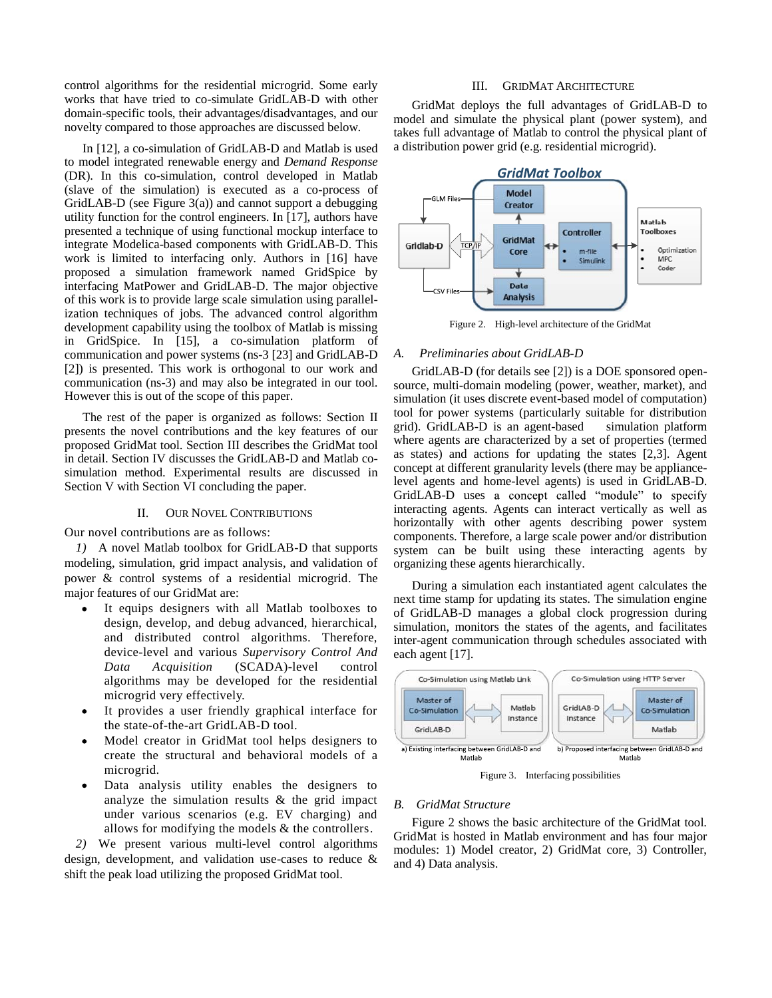control algorithms for the residential microgrid. Some early works that have tried to co-simulate GridLAB-D with other domain-specific tools, their advantages/disadvantages, and our novelty compared to those approaches are discussed below.

In [12], a co-simulation of GridLAB-D and Matlab is used to model integrated renewable energy and *Demand Response* (DR). In this co-simulation, control developed in Matlab (slave of the simulation) is executed as a co-process of GridLAB-D (see Figure 3(a)) and cannot support a debugging utility function for the control engineers. In [17], authors have presented a technique of using functional mockup interface to integrate Modelica-based components with GridLAB-D. This work is limited to interfacing only. Authors in [16] have proposed a simulation framework named GridSpice by interfacing MatPower and GridLAB-D. The major objective of this work is to provide large scale simulation using parallelization techniques of jobs. The advanced control algorithm development capability using the toolbox of Matlab is missing in GridSpice. In [15], a co-simulation platform of communication and power systems (ns-3 [23] and GridLAB-D [2]) is presented. This work is orthogonal to our work and communication (ns-3) and may also be integrated in our tool. However this is out of the scope of this paper.

The rest of the paper is organized as follows: Section II presents the novel contributions and the key features of our proposed GridMat tool. Section III describes the GridMat tool in detail. Section IV discusses the GridLAB-D and Matlab cosimulation method. Experimental results are discussed in Section V with Section VI concluding the paper.

## II. OUR NOVEL CONTRIBUTIONS

Our novel contributions are as follows:

*1)* A novel Matlab toolbox for GridLAB-D that supports modeling, simulation, grid impact analysis, and validation of power & control systems of a residential microgrid. The major features of our GridMat are:

- It equips designers with all Matlab toolboxes to design, develop, and debug advanced, hierarchical, and distributed control algorithms. Therefore, device-level and various *Supervisory Control And Data Acquisition* (SCADA)-level control algorithms may be developed for the residential microgrid very effectively.
- It provides a user friendly graphical interface for the state-of-the-art GridLAB-D tool.
- Model creator in GridMat tool helps designers to create the structural and behavioral models of a microgrid.
- Data analysis utility enables the designers to analyze the simulation results & the grid impact under various scenarios (e.g. EV charging) and allows for modifying the models & the controllers.

*2)* We present various multi-level control algorithms design, development, and validation use-cases to reduce & shift the peak load utilizing the proposed GridMat tool.

#### III. GRIDMAT ARCHITECTURE

GridMat deploys the full advantages of GridLAB-D to model and simulate the physical plant (power system), and takes full advantage of Matlab to control the physical plant of a distribution power grid (e.g. residential microgrid).



Figure 2. High-level architecture of the GridMat

## *A. Preliminaries about GridLAB-D*

GridLAB-D (for details see [2]) is a DOE sponsored opensource, multi-domain modeling (power, weather, market), and simulation (it uses discrete event-based model of computation) tool for power systems (particularly suitable for distribution grid). GridLAB-D is an agent-based simulation platform where agents are characterized by a set of properties (termed as states) and actions for updating the states [2,3]. Agent concept at different granularity levels (there may be appliancelevel agents and home-level agents) is used in GridLAB-D. GridLAB-D uses a concept called "module" to specify interacting agents. Agents can interact vertically as well as horizontally with other agents describing power system components. Therefore, a large scale power and/or distribution system can be built using these interacting agents by organizing these agents hierarchically.

During a simulation each instantiated agent calculates the next time stamp for updating its states. The simulation engine of GridLAB-D manages a global clock progression during simulation, monitors the states of the agents, and facilitates inter-agent communication through schedules associated with each agent [17].



Figure 3. Interfacing possibilities

### *B. GridMat Structure*

Figure 2 shows the basic architecture of the GridMat tool. GridMat is hosted in Matlab environment and has four major modules: 1) Model creator, 2) GridMat core, 3) Controller, and 4) Data analysis.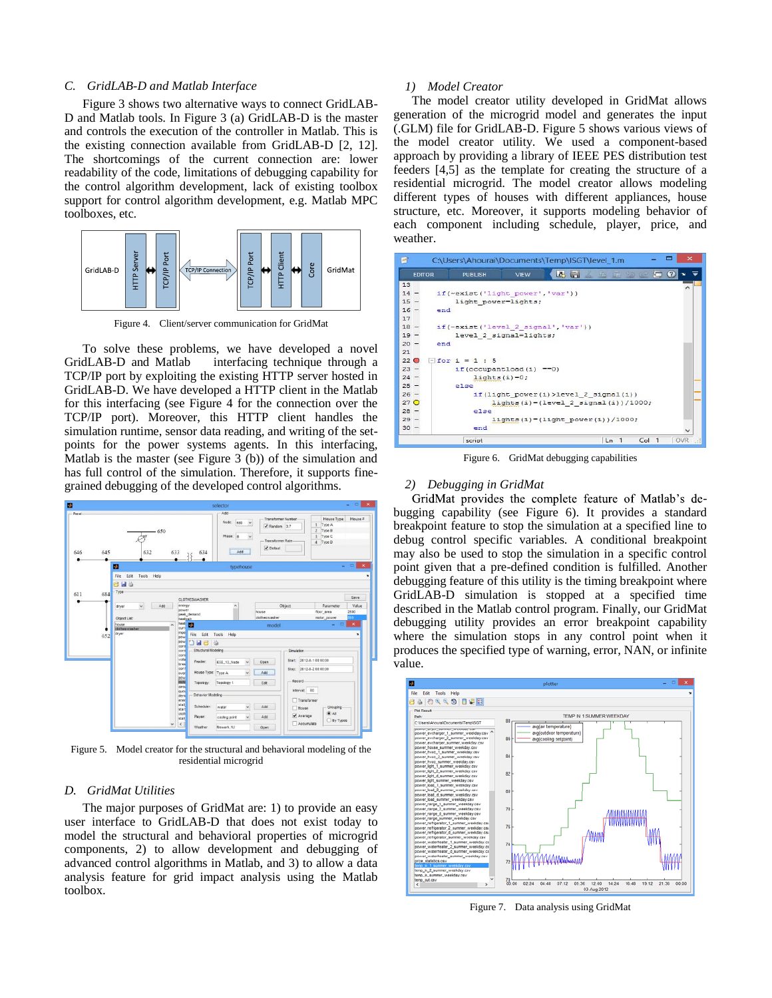#### *C. GridLAB-D and Matlab Interface*

Figure 3 shows two alternative ways to connect GridLAB-D and Matlab tools. In Figure 3 (a) GridLAB-D is the master and controls the execution of the controller in Matlab. This is the existing connection available from GridLAB-D [2, 12]. The shortcomings of the current connection are: lower readability of the code, limitations of debugging capability for the control algorithm development, lack of existing toolbox support for control algorithm development, e.g. Matlab MPC toolboxes, etc.



Figure 4. Client/server communication for GridMat

To solve these problems, we have developed a novel GridLAB-D and Matlab interfacing technique through a TCP/IP port by exploiting the existing HTTP server hosted in GridLAB-D. We have developed a HTTP client in the Matlab for this interfacing (see Figure 4 for the connection over the TCP/IP port). Moreover, this HTTP client handles the simulation runtime, sensor data reading, and writing of the setpoints for the power systems agents. In this interfacing, Matlab is the master (see Figure 3 (b)) of the simulation and has full control of the simulation. Therefore, it supports finegrained debugging of the developed control algorithms.



Figure 5. Model creator for the structural and behavioral modeling of the residential microgrid

#### *D. GridMat Utilities*

The major purposes of GridMat are: 1) to provide an easy user interface to GridLAB-D that does not exist today to model the structural and behavioral properties of microgrid components, 2) to allow development and debugging of advanced control algorithms in Matlab, and 3) to allow a data analysis feature for grid impact analysis using the Matlab toolbox.

### *1) Model Creator*

The model creator utility developed in GridMat allows generation of the microgrid model and generates the input (.GLM) file for GridLAB-D. Figure 5 shows various views of the model creator utility. We used a component-based approach by providing a library of IEEE PES distribution test feeders [4,5] as the template for creating the structure of a residential microgrid. The model creator allows modeling different types of houses with different appliances, house structure, etc. Moreover, it supports modeling behavior of each component including schedule, player, price, and weather.



Figure 6. GridMat debugging capabilities

#### *2) Debugging in GridMat*

GridMat provides the complete feature of Matlab's debugging capability (see Figure 6). It provides a standard breakpoint feature to stop the simulation at a specified line to debug control specific variables. A conditional breakpoint may also be used to stop the simulation in a specific control point given that a pre-defined condition is fulfilled. Another debugging feature of this utility is the timing breakpoint where GridLAB-D simulation is stopped at a specified time described in the Matlab control program. Finally, our GridMat debugging utility provides an error breakpoint capability where the simulation stops in any control point when it produces the specified type of warning, error, NAN, or infinite value.



Figure 7. Data analysis using GridMat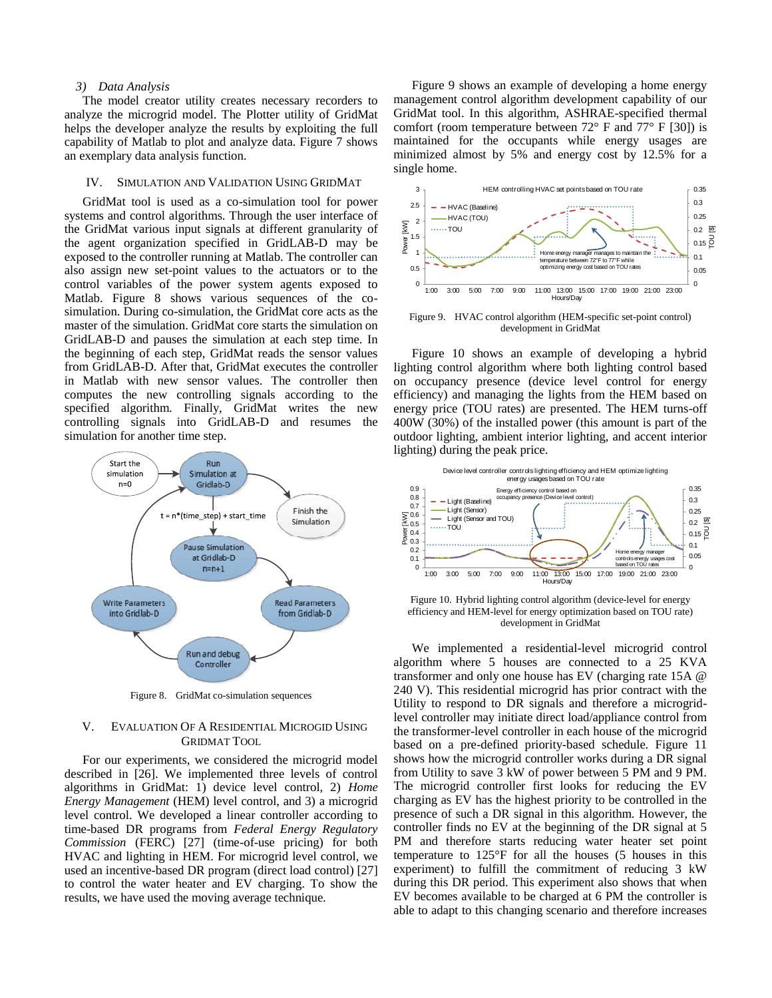#### *3) Data Analysis*

The model creator utility creates necessary recorders to analyze the microgrid model. The Plotter utility of GridMat helps the developer analyze the results by exploiting the full capability of Matlab to plot and analyze data. Figure 7 shows an exemplary data analysis function.

#### IV. SIMULATION AND VALIDATION USING GRIDMAT

GridMat tool is used as a co-simulation tool for power systems and control algorithms. Through the user interface of the GridMat various input signals at different granularity of the agent organization specified in GridLAB-D may be exposed to the controller running at Matlab. The controller can also assign new set-point values to the actuators or to the control variables of the power system agents exposed to Matlab. Figure 8 shows various sequences of the cosimulation. During co-simulation, the GridMat core acts as the master of the simulation. GridMat core starts the simulation on GridLAB-D and pauses the simulation at each step time. In the beginning of each step, GridMat reads the sensor values from GridLAB-D. After that, GridMat executes the controller in Matlab with new sensor values. The controller then computes the new controlling signals according to the specified algorithm. Finally, GridMat writes the new controlling signals into GridLAB-D and resumes the simulation for another time step.



Figure 8. GridMat co-simulation sequences

## V. EVALUATION OF A RESIDENTIAL MICROGID USING GRIDMAT TOOL

For our experiments, we considered the microgrid model described in [26]. We implemented three levels of control algorithms in GridMat: 1) device level control, 2) *Home Energy Management* (HEM) level control, and 3) a microgrid level control. We developed a linear controller according to time-based DR programs from *Federal Energy Regulatory Commission* (FERC) [27] (time-of-use pricing) for both HVAC and lighting in HEM. For microgrid level control, we used an incentive-based DR program (direct load control) [27] to control the water heater and EV charging. To show the results, we have used the moving average technique.

Figure 9 shows an example of developing a home energy management control algorithm development capability of our GridMat tool. In this algorithm, ASHRAE-specified thermal comfort (room temperature between  $72^{\circ}$  F and  $77^{\circ}$  F [30]) is maintained for the occupants while energy usages are minimized almost by 5% and energy cost by 12.5% for a single home.



Figure 9. HVAC control algorithm (HEM-specific set-point control) development in GridMat

Figure 10 shows an example of developing a hybrid lighting control algorithm where both lighting control based on occupancy presence (device level control for energy efficiency) and managing the lights from the HEM based on energy price (TOU rates) are presented. The HEM turns-off 400W (30%) of the installed power (this amount is part of the outdoor lighting, ambient interior lighting, and accent interior lighting) during the peak price.



Figure 10. Hybrid lighting control algorithm (device-level for energy efficiency and HEM-level for energy optimization based on TOU rate) development in GridMat

We implemented a residential-level microgrid control algorithm where 5 houses are connected to a 25 KVA transformer and only one house has EV (charging rate 15A @ 240 V). This residential microgrid has prior contract with the Utility to respond to DR signals and therefore a microgridlevel controller may initiate direct load/appliance control from the transformer-level controller in each house of the microgrid based on a pre-defined priority-based schedule. Figure 11 shows how the microgrid controller works during a DR signal from Utility to save 3 kW of power between 5 PM and 9 PM. The microgrid controller first looks for reducing the EV charging as EV has the highest priority to be controlled in the presence of such a DR signal in this algorithm. However, the controller finds no EV at the beginning of the DR signal at 5 PM and therefore starts reducing water heater set point temperature to 125°F for all the houses (5 houses in this experiment) to fulfill the commitment of reducing 3 kW during this DR period. This experiment also shows that when EV becomes available to be charged at 6 PM the controller is able to adapt to this changing scenario and therefore increases